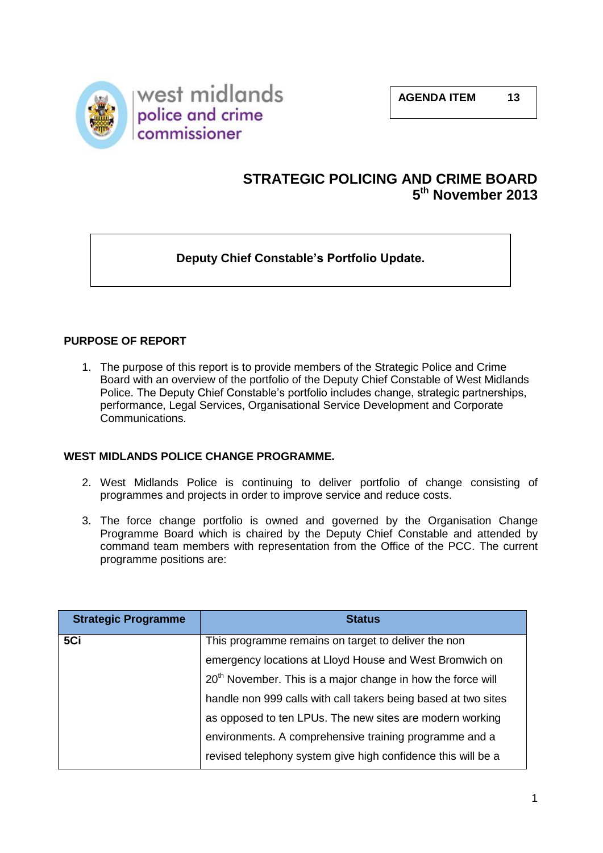

# **STRATEGIC POLICING AND CRIME BOARD 5 th November 2013**

## **Deputy Chief Constable's Portfolio Update.**

## **PURPOSE OF REPORT**

1. The purpose of this report is to provide members of the Strategic Police and Crime Board with an overview of the portfolio of the Deputy Chief Constable of West Midlands Police. The Deputy Chief Constable's portfolio includes change, strategic partnerships, performance, Legal Services, Organisational Service Development and Corporate Communications.

#### **WEST MIDLANDS POLICE CHANGE PROGRAMME.**

- 2. West Midlands Police is continuing to deliver portfolio of change consisting of programmes and projects in order to improve service and reduce costs.
- 3. The force change portfolio is owned and governed by the Organisation Change Programme Board which is chaired by the Deputy Chief Constable and attended by command team members with representation from the Office of the PCC. The current programme positions are:

| <b>Strategic Programme</b> | <b>Status</b>                                                           |
|----------------------------|-------------------------------------------------------------------------|
| 5Ci                        | This programme remains on target to deliver the non                     |
|                            | emergency locations at Lloyd House and West Bromwich on                 |
|                            | 20 <sup>th</sup> November. This is a major change in how the force will |
|                            | handle non 999 calls with call takers being based at two sites          |
|                            | as opposed to ten LPUs. The new sites are modern working                |
|                            | environments. A comprehensive training programme and a                  |
|                            | revised telephony system give high confidence this will be a            |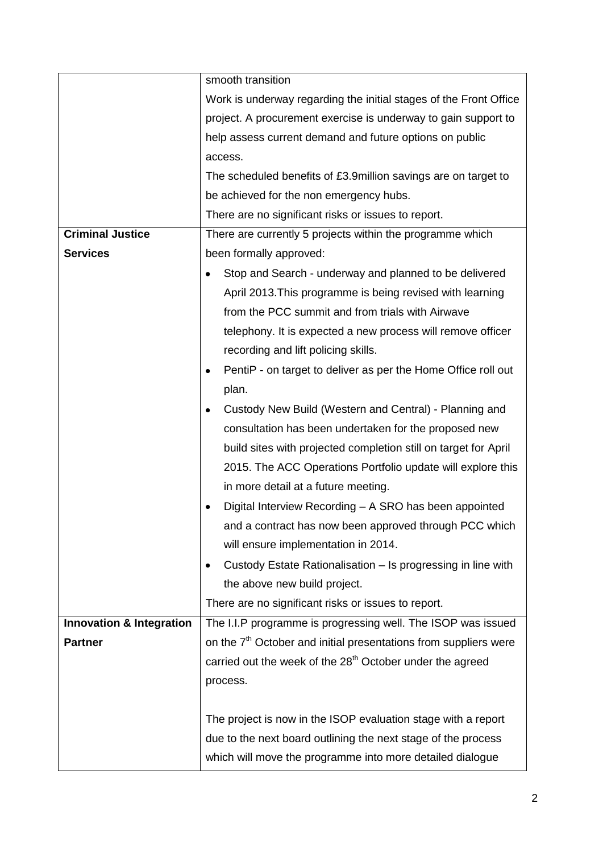|                                     | smooth transition                                                            |
|-------------------------------------|------------------------------------------------------------------------------|
|                                     | Work is underway regarding the initial stages of the Front Office            |
|                                     | project. A procurement exercise is underway to gain support to               |
|                                     | help assess current demand and future options on public                      |
|                                     | access.                                                                      |
|                                     | The scheduled benefits of £3.9million savings are on target to               |
|                                     | be achieved for the non emergency hubs.                                      |
|                                     | There are no significant risks or issues to report.                          |
| <b>Criminal Justice</b>             | There are currently 5 projects within the programme which                    |
| <b>Services</b>                     | been formally approved:                                                      |
|                                     | Stop and Search - underway and planned to be delivered                       |
|                                     | April 2013. This programme is being revised with learning                    |
|                                     | from the PCC summit and from trials with Airwave                             |
|                                     | telephony. It is expected a new process will remove officer                  |
|                                     | recording and lift policing skills.                                          |
|                                     | PentiP - on target to deliver as per the Home Office roll out                |
|                                     | plan.                                                                        |
|                                     | Custody New Build (Western and Central) - Planning and<br>٠                  |
|                                     | consultation has been undertaken for the proposed new                        |
|                                     | build sites with projected completion still on target for April              |
|                                     | 2015. The ACC Operations Portfolio update will explore this                  |
|                                     | in more detail at a future meeting.                                          |
|                                     | Digital Interview Recording - A SRO has been appointed                       |
|                                     | and a contract has now been approved through PCC which                       |
|                                     | will ensure implementation in 2014.                                          |
|                                     | Custody Estate Rationalisation - Is progressing in line with<br>٠            |
|                                     | the above new build project.                                                 |
|                                     | There are no significant risks or issues to report.                          |
| <b>Innovation &amp; Integration</b> | The I.I.P programme is progressing well. The ISOP was issued                 |
| <b>Partner</b>                      | on the 7 <sup>th</sup> October and initial presentations from suppliers were |
|                                     | carried out the week of the 28 <sup>th</sup> October under the agreed        |
|                                     | process.                                                                     |
|                                     |                                                                              |
|                                     | The project is now in the ISOP evaluation stage with a report                |
|                                     | due to the next board outlining the next stage of the process                |
|                                     | which will move the programme into more detailed dialogue                    |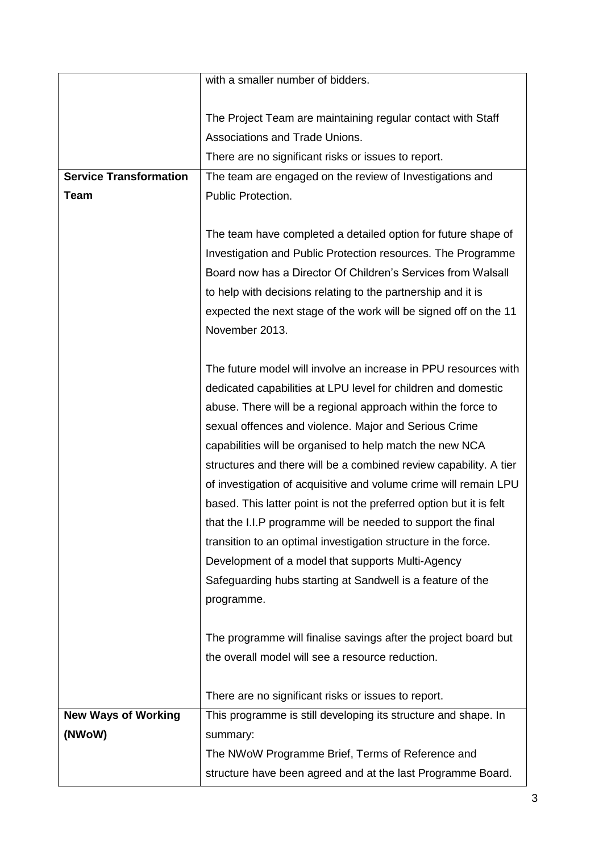|                               | with a smaller number of bidders.                                   |
|-------------------------------|---------------------------------------------------------------------|
|                               |                                                                     |
|                               | The Project Team are maintaining regular contact with Staff         |
|                               | Associations and Trade Unions.                                      |
|                               | There are no significant risks or issues to report.                 |
| <b>Service Transformation</b> | The team are engaged on the review of Investigations and            |
| <b>Team</b>                   | Public Protection.                                                  |
|                               |                                                                     |
|                               | The team have completed a detailed option for future shape of       |
|                               | Investigation and Public Protection resources. The Programme        |
|                               | Board now has a Director Of Children's Services from Walsall        |
|                               | to help with decisions relating to the partnership and it is        |
|                               | expected the next stage of the work will be signed off on the 11    |
|                               | November 2013.                                                      |
|                               |                                                                     |
|                               | The future model will involve an increase in PPU resources with     |
|                               | dedicated capabilities at LPU level for children and domestic       |
|                               | abuse. There will be a regional approach within the force to        |
|                               | sexual offences and violence. Major and Serious Crime               |
|                               | capabilities will be organised to help match the new NCA            |
|                               | structures and there will be a combined review capability. A tier   |
|                               | of investigation of acquisitive and volume crime will remain LPU    |
|                               | based. This latter point is not the preferred option but it is felt |
|                               | that the I.I.P programme will be needed to support the final        |
|                               | transition to an optimal investigation structure in the force.      |
|                               | Development of a model that supports Multi-Agency                   |
|                               | Safeguarding hubs starting at Sandwell is a feature of the          |
|                               | programme.                                                          |
|                               |                                                                     |
|                               | The programme will finalise savings after the project board but     |
|                               | the overall model will see a resource reduction.                    |
|                               |                                                                     |
|                               | There are no significant risks or issues to report.                 |
| <b>New Ways of Working</b>    | This programme is still developing its structure and shape. In      |
| (NWoW)                        | summary:                                                            |
|                               | The NWoW Programme Brief, Terms of Reference and                    |
|                               | structure have been agreed and at the last Programme Board.         |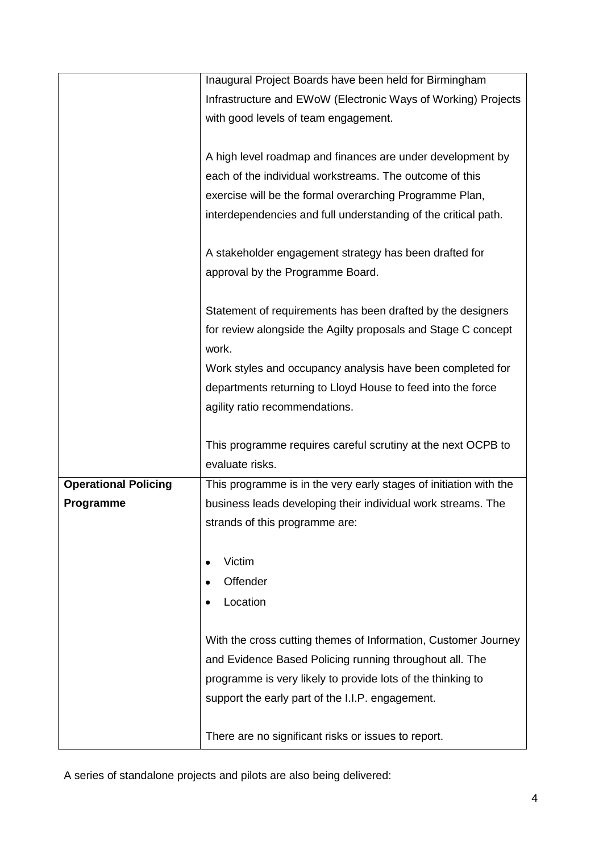|                             | Inaugural Project Boards have been held for Birmingham                                                                            |
|-----------------------------|-----------------------------------------------------------------------------------------------------------------------------------|
|                             | Infrastructure and EWoW (Electronic Ways of Working) Projects                                                                     |
|                             | with good levels of team engagement.                                                                                              |
|                             |                                                                                                                                   |
|                             | A high level roadmap and finances are under development by                                                                        |
|                             | each of the individual workstreams. The outcome of this                                                                           |
|                             | exercise will be the formal overarching Programme Plan,                                                                           |
|                             | interdependencies and full understanding of the critical path.                                                                    |
|                             |                                                                                                                                   |
|                             | A stakeholder engagement strategy has been drafted for                                                                            |
|                             | approval by the Programme Board.                                                                                                  |
|                             |                                                                                                                                   |
|                             | Statement of requirements has been drafted by the designers                                                                       |
|                             | for review alongside the Agilty proposals and Stage C concept                                                                     |
|                             | work.                                                                                                                             |
|                             | Work styles and occupancy analysis have been completed for                                                                        |
|                             | departments returning to Lloyd House to feed into the force                                                                       |
|                             | agility ratio recommendations.                                                                                                    |
|                             |                                                                                                                                   |
|                             | This programme requires careful scrutiny at the next OCPB to<br>evaluate risks.                                                   |
| <b>Operational Policing</b> |                                                                                                                                   |
| <b>Programme</b>            | This programme is in the very early stages of initiation with the<br>business leads developing their individual work streams. The |
|                             | strands of this programme are:                                                                                                    |
|                             |                                                                                                                                   |
|                             | Victim                                                                                                                            |
|                             | Offender                                                                                                                          |
|                             | Location                                                                                                                          |
|                             |                                                                                                                                   |
|                             | With the cross cutting themes of Information, Customer Journey                                                                    |
|                             | and Evidence Based Policing running throughout all. The                                                                           |
|                             | programme is very likely to provide lots of the thinking to                                                                       |
|                             | support the early part of the I.I.P. engagement.                                                                                  |
|                             |                                                                                                                                   |
|                             | There are no significant risks or issues to report.                                                                               |

A series of standalone projects and pilots are also being delivered: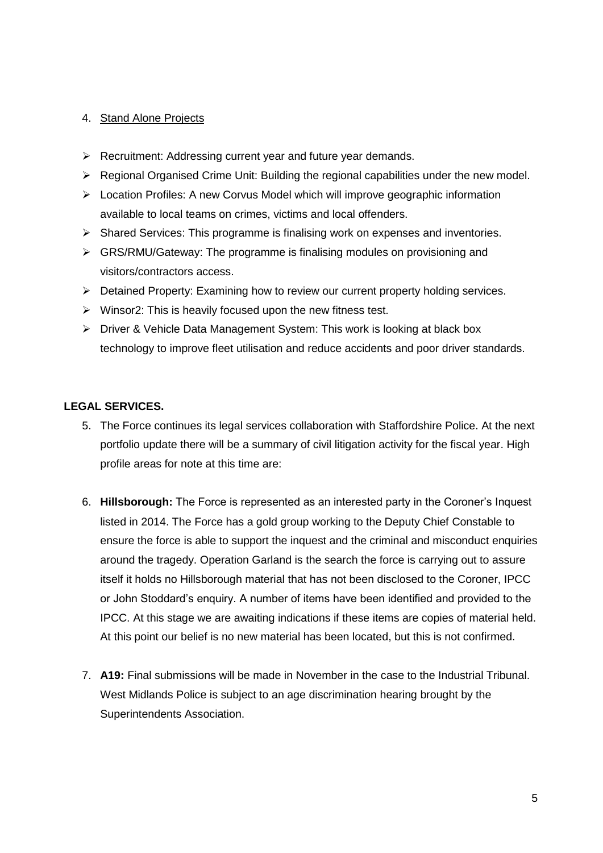#### 4. Stand Alone Projects

- $\triangleright$  Recruitment: Addressing current year and future year demands.
- $\triangleright$  Regional Organised Crime Unit: Building the regional capabilities under the new model.
- Location Profiles: A new Corvus Model which will improve geographic information available to local teams on crimes, victims and local offenders.
- $\triangleright$  Shared Services: This programme is finalising work on expenses and inventories.
- $\triangleright$  GRS/RMU/Gateway: The programme is finalising modules on provisioning and visitors/contractors access.
- ▶ Detained Property: Examining how to review our current property holding services.
- $\triangleright$  Winsor2: This is heavily focused upon the new fitness test.
- ▶ Driver & Vehicle Data Management System: This work is looking at black box technology to improve fleet utilisation and reduce accidents and poor driver standards.

#### **LEGAL SERVICES.**

- 5. The Force continues its legal services collaboration with Staffordshire Police. At the next portfolio update there will be a summary of civil litigation activity for the fiscal year. High profile areas for note at this time are:
- 6. **Hillsborough:** The Force is represented as an interested party in the Coroner's Inquest listed in 2014. The Force has a gold group working to the Deputy Chief Constable to ensure the force is able to support the inquest and the criminal and misconduct enquiries around the tragedy. Operation Garland is the search the force is carrying out to assure itself it holds no Hillsborough material that has not been disclosed to the Coroner, IPCC or John Stoddard's enquiry. A number of items have been identified and provided to the IPCC. At this stage we are awaiting indications if these items are copies of material held. At this point our belief is no new material has been located, but this is not confirmed.
- 7. **A19:** Final submissions will be made in November in the case to the Industrial Tribunal. West Midlands Police is subject to an age discrimination hearing brought by the Superintendents Association.